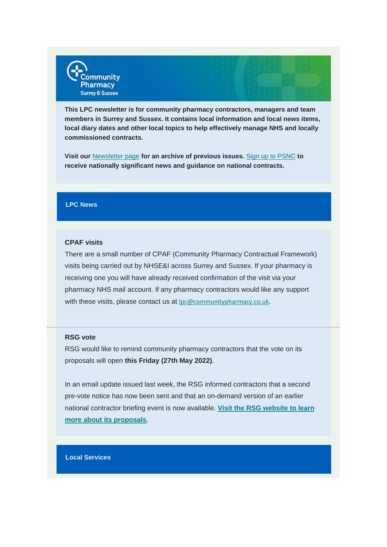

**This LPC newsletter is for community pharmacy contractors, managers and team members in Surrey and Sussex. It contains local information and local news items, local diary dates and other local topics to help effectively manage NHS and locally commissioned contracts.**

**Visit our** [Newsletter page](https://communitypharmacyss.us7.list-manage.com/track/click?u=33f7e892f0f58b8b9ecc659cf&id=6080cdb63a&e=2bf65ab530) **for an archive of previous issues.** Sign [up to PSNC](https://communitypharmacyss.us7.list-manage.com/track/click?u=33f7e892f0f58b8b9ecc659cf&id=c6a16f9615&e=2bf65ab530) **to receive nationally significant news and guidance on national contracts.**

## **LPC News**

#### **CPAF visits**

There are a small number of CPAF (Community Pharmacy Contractual Framework) visits being carried out by NHSE&I across Surrey and Sussex. If your pharmacy is receiving one you will have already received confirmation of the visit via your pharmacy NHS mail account. If any pharmacy contractors would like any support with these visits, please contact us at [lpc@communitypharmacy.co.uk](https://communitypharmacyss.us7.list-manage.com/track/click?u=33f7e892f0f58b8b9ecc659cf&id=72c23c5630&e=2bf65ab530).

#### **RSG vote**

RSG would like to remind community pharmacy contractors that the vote on its proposals will open **this Friday (27th May 2022)**.

In an email update issued last week, the RSG informed contractors that a second pre-vote notice has now been sent and that an on-demand version of an earlier national contractor briefing event is now available. **[Visit the RSG website to learn](https://communitypharmacyss.us7.list-manage.com/track/click?u=33f7e892f0f58b8b9ecc659cf&id=0319d4139d&e=2bf65ab530)  [more about its proposals](https://communitypharmacyss.us7.list-manage.com/track/click?u=33f7e892f0f58b8b9ecc659cf&id=0319d4139d&e=2bf65ab530)**.

#### **Local Services**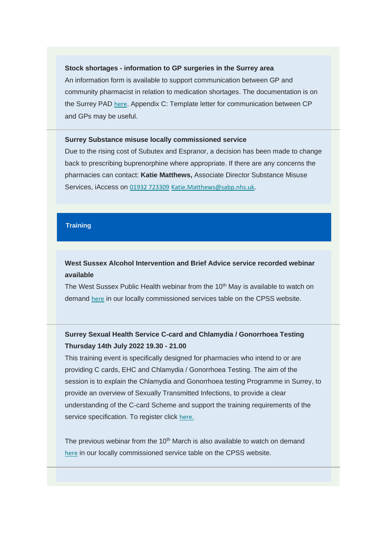#### **Stock shortages - information to GP surgeries in the Surrey area**

An information form is available to support communication between GP and community pharmacist in relation to medication shortages. The documentation is on the Surrey PAD [here](https://communitypharmacyss.us7.list-manage.com/track/click?u=33f7e892f0f58b8b9ecc659cf&id=88720e259d&e=2bf65ab530). Appendix C: Template letter for communication between CP and GPs may be useful.

## **Surrey Substance misuse locally commissioned service**

Due to the rising cost of Subutex and Espranor, a decision has been made to change back to prescribing buprenorphine where appropriate. If there are any concerns the pharmacies can contact: **Katie Matthews,** Associate Director Substance Misuse Services, iAccess on [01932 723309](tel:01932%20723309) [Katie.Matthews@sabp.nhs.uk](mailto:Katie.Matthews@sabp.nhs.uk).

# **Training**

# **West Sussex Alcohol Intervention and Brief Advice service recorded webinar available**

The West Sussex Public Health webinar from the 10<sup>th</sup> May is available to watch on demand [here](https://communitypharmacyss.us7.list-manage.com/track/click?u=33f7e892f0f58b8b9ecc659cf&id=2915f1abe5&e=2bf65ab530) in our locally commissioned services table on the CPSS website.

# **Surrey Sexual Health Service C-card and Chlamydia / Gonorrhoea Testing Thursday 14th July 2022 19.30 - 21.00**

This training event is specifically designed for pharmacies who intend to or are providing C cards, EHC and Chlamydia / Gonorrhoea Testing. The aim of the session is to explain the Chlamydia and Gonorrhoea testing Programme in Surrey, to provide an overview of Sexually Transmitted Infections, to provide a clear understanding of the C-card Scheme and support the training requirements of the service specification. To register click [here.](https://communitypharmacyss.us7.list-manage.com/track/click?u=33f7e892f0f58b8b9ecc659cf&id=af2f753796&e=2bf65ab530)

The previous webinar from the 10<sup>th</sup> March is also available to watch on demand [here](https://communitypharmacyss.us7.list-manage.com/track/click?u=33f7e892f0f58b8b9ecc659cf&id=11a0f8f122&e=2bf65ab530) in our locally commissioned service table on the CPSS website.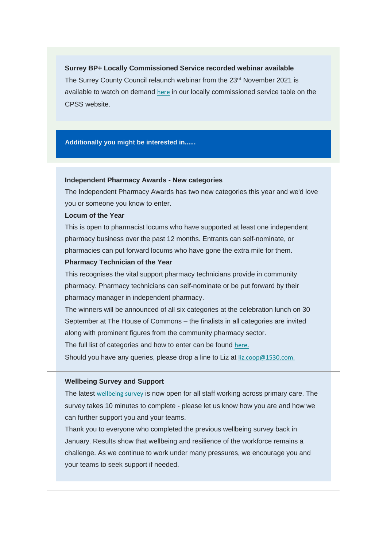**Surrey BP+ Locally Commissioned Service recorded webinar available** The Surrey County Council relaunch webinar from the 23<sup>rd</sup> November 2021 is available to watch on demand [here](https://communitypharmacyss.us7.list-manage.com/track/click?u=33f7e892f0f58b8b9ecc659cf&id=51c11eea52&e=2bf65ab530) in our locally commissioned service table on the CPSS website.

**Additionally you might be interested in......**

## **Independent Pharmacy Awards - New categories**

The Independent Pharmacy Awards has two new categories this year and we'd love you or someone you know to enter.

#### **Locum of the Year**

This is open to pharmacist locums who have supported at least one independent pharmacy business over the past 12 months. Entrants can self-nominate, or pharmacies can put forward locums who have gone the extra mile for them.

#### **Pharmacy Technician of the Year**

This recognises the vital support pharmacy technicians provide in community pharmacy. Pharmacy technicians can self-nominate or be put forward by their pharmacy manager in independent pharmacy.

The winners will be announced of all six categories at the celebration lunch on 30 September at The House of Commons – the finalists in all categories are invited along with prominent figures from the community pharmacy sector.

The full list of categories and how to enter can be found [here.](https://communitypharmacyss.us7.list-manage.com/track/click?u=33f7e892f0f58b8b9ecc659cf&id=4780873166&e=2bf65ab530)

Should you have any queries, please drop a line to Liz at [liz.coop@1530.com.](mailto:liz.coop@1530.com)

## **Wellbeing Survey and Support**

The latest [wellbeing survey](https://communitypharmacyss.us7.list-manage.com/track/click?u=33f7e892f0f58b8b9ecc659cf&id=58a5da7e20&e=2bf65ab530) is now open for all staff working across primary care. The survey takes 10 minutes to complete - please let us know how you are and how we can further support you and your teams.

Thank you to everyone who completed the previous wellbeing survey back in January. Results show that wellbeing and resilience of the workforce remains a challenge. As we continue to work under many pressures, we encourage you and your teams to seek support if needed.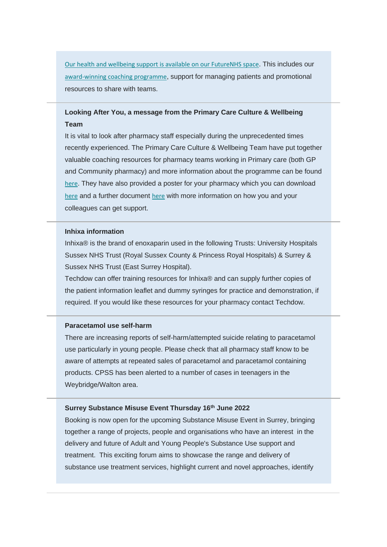[Our health and wellbeing support is available on our FutureNHS space](https://communitypharmacyss.us7.list-manage.com/track/click?u=33f7e892f0f58b8b9ecc659cf&id=26b4d1925b&e=2bf65ab530). This includes our [award-winning coaching programme](https://communitypharmacyss.us7.list-manage.com/track/click?u=33f7e892f0f58b8b9ecc659cf&id=a809f9774a&e=2bf65ab530), support for managing patients and promotional resources to share with teams.

# **Looking After You, a message from the Primary Care Culture & Wellbeing Team**

It is vital to look after pharmacy staff especially during the unprecedented times recently experienced. The Primary Care Culture & Wellbeing Team have put together valuable coaching resources for pharmacy teams working in Primary care (both GP and Community pharmacy) and more information about the programme can be found [here](https://communitypharmacyss.us7.list-manage.com/track/click?u=33f7e892f0f58b8b9ecc659cf&id=fe8ba2131e&e=2bf65ab530). They have also provided a poster for your pharmacy which you can download [here](https://communitypharmacyss.us7.list-manage.com/track/click?u=33f7e892f0f58b8b9ecc659cf&id=da2fdbf874&e=2bf65ab530) and a further document [here](https://communitypharmacyss.us7.list-manage.com/track/click?u=33f7e892f0f58b8b9ecc659cf&id=aa8105b913&e=2bf65ab530) with more information on how you and your colleagues can get support.

#### **Inhixa information**

Inhixa® is the brand of enoxaparin used in the following Trusts: University Hospitals Sussex NHS Trust (Royal Sussex County & Princess Royal Hospitals) & Surrey & Sussex NHS Trust (East Surrey Hospital).

Techdow can offer training resources for Inhixa® and can supply further copies of the patient information leaflet and dummy syringes for practice and demonstration, if required. If you would like these resources for your pharmacy contact Techdow.

# **Paracetamol use self-harm**

There are increasing reports of self-harm/attempted suicide relating to paracetamol use particularly in young people. Please check that all pharmacy staff know to be aware of attempts at repeated sales of paracetamol and paracetamol containing products. CPSS has been alerted to a number of cases in teenagers in the Weybridge/Walton area.

# **Surrey Substance Misuse Event Thursday 16th June 2022**

Booking is now open for the upcoming Substance Misuse Event in Surrey, bringing together a range of projects, people and organisations who have an interest in the delivery and future of Adult and Young People's Substance Use support and treatment. This exciting forum aims to showcase the range and delivery of substance use treatment services, highlight current and novel approaches, identify